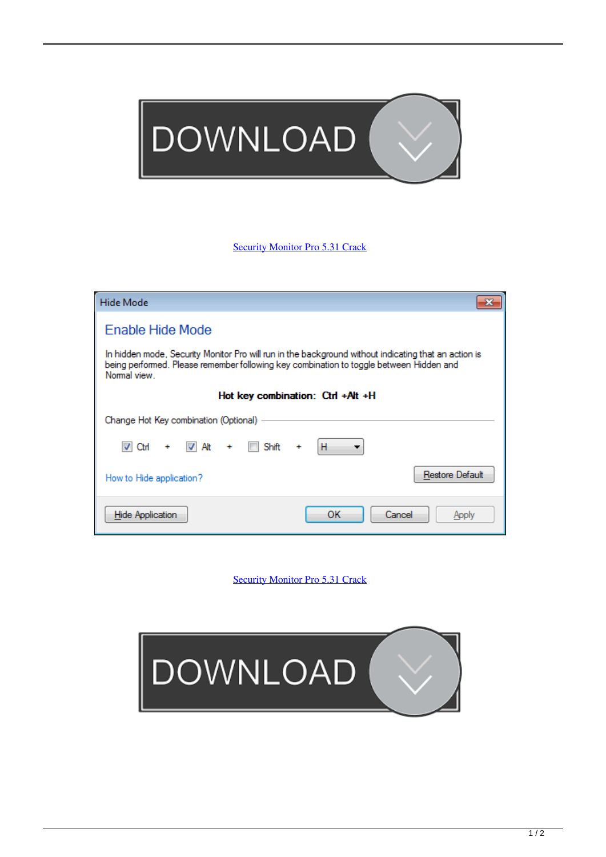

## [Security Monitor Pro 5.31 Crack](http://evacdir.com/dehlvi/isles/remark/ZG93bmxvYWR8bWoyTXpkcWFXdHpmSHd4TlRreU1EZ3lPRGt3Zkh3eU16TTJmSHdvVFU5T1UxUkZVaWtnU0dWeWIydDFJRnRRUkVaZA/?seidelman&sunpowerpro=c2VjdXJpdHkgbW9uaXRvciBwcm8gNS4zMSBjcmFjawc2V=misers)

| Hide Mode<br>x                                                                                                                                                                                                  |
|-----------------------------------------------------------------------------------------------------------------------------------------------------------------------------------------------------------------|
| Enable Hide Mode                                                                                                                                                                                                |
| In hidden mode, Security Monitor Pro will run in the background without indicating that an action is<br>being performed. Please remember following key combination to toggle between Hidden and<br>Normal view. |
| Hot key combination: Ctrl +Alt +H                                                                                                                                                                               |
| Change Hot Key combination (Optional)                                                                                                                                                                           |
| + V Alt<br>H<br>$+$ <b>Shift</b><br>V Ctrl                                                                                                                                                                      |
| Restore Default<br>How to Hide application?                                                                                                                                                                     |
| ок<br>Cancel<br><b>Hide Application</b><br>Apply                                                                                                                                                                |

[Security Monitor Pro 5.31 Crack](http://evacdir.com/dehlvi/isles/remark/ZG93bmxvYWR8bWoyTXpkcWFXdHpmSHd4TlRreU1EZ3lPRGt3Zkh3eU16TTJmSHdvVFU5T1UxUkZVaWtnU0dWeWIydDFJRnRRUkVaZA/?seidelman&sunpowerpro=c2VjdXJpdHkgbW9uaXRvciBwcm8gNS4zMSBjcmFjawc2V=misers)